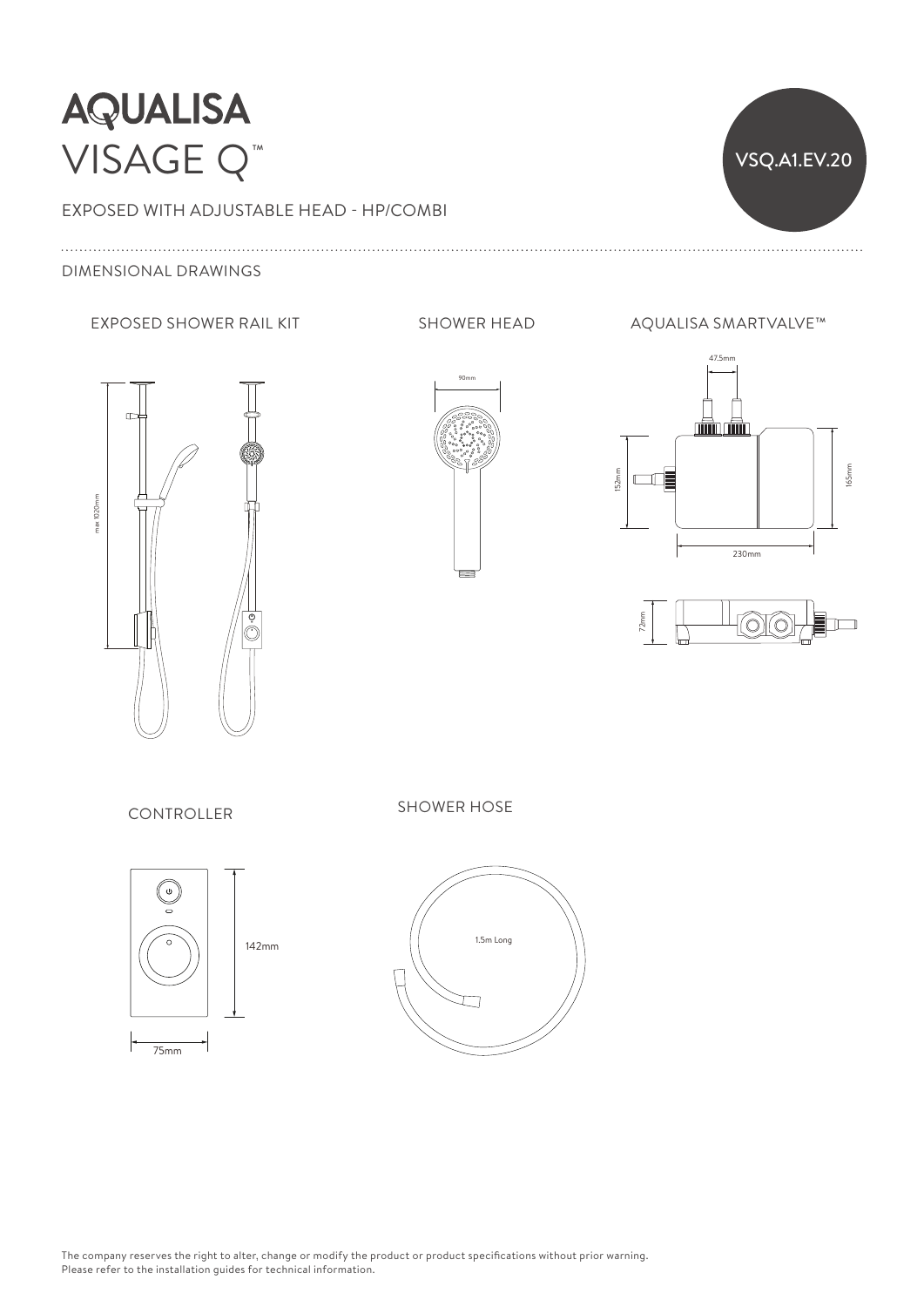

## EXPOSED WITH ADJUSTABLE HEAD - HP/COMBI

## DIMENSIONAL DRAWINGS







47.5mm 165mm 152mm  $\Box$ 230mm



CONTROLLER SHOWER HOSE



142mm



The company reserves the right to alter, change or modify the product or product specifications without prior warning. Please refer to the installation guides for technical information.